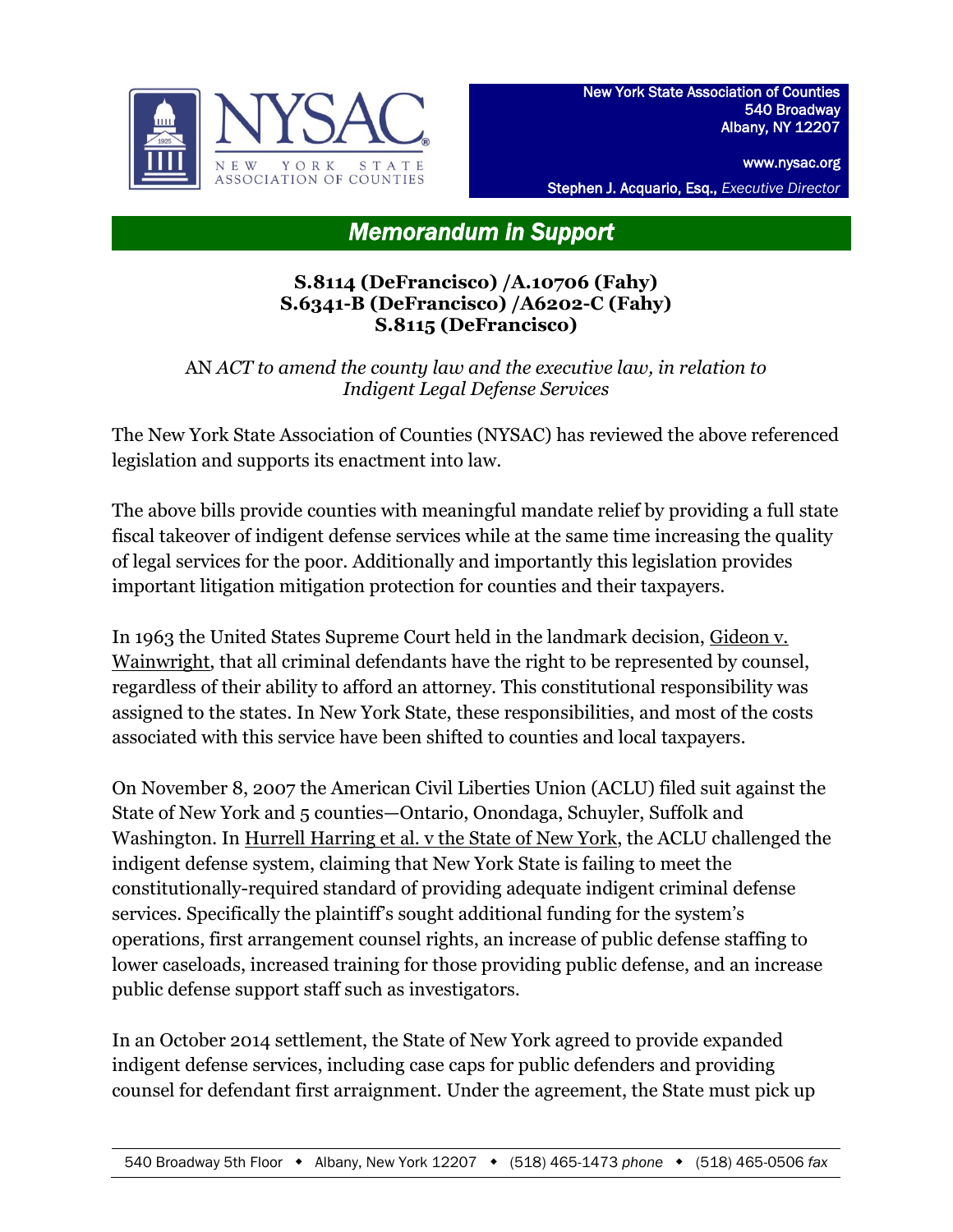

www.nysac.org

Stephen J. Acquario, Esq., *Executive Director*

## *Memorandum in Support*

## **S.8114 (DeFrancisco) /A.10706 (Fahy) S.6341-B (DeFrancisco) /A6202-C (Fahy) S.8115 (DeFrancisco)**

AN *ACT to amend the county law and the executive law, in relation to Indigent Legal Defense Services*

The New York State Association of Counties (NYSAC) has reviewed the above referenced legislation and supports its enactment into law.

The above bills provide counties with meaningful mandate relief by providing a full state fiscal takeover of indigent defense services while at the same time increasing the quality of legal services for the poor. Additionally and importantly this legislation provides important litigation mitigation protection for counties and their taxpayers.

In 1963 the United States Supreme Court held in the landmark decision, Gideon v. Wainwright, that all criminal defendants have the right to be represented by counsel, regardless of their ability to afford an attorney. This constitutional responsibility was assigned to the states. In New York State, these responsibilities, and most of the costs associated with this service have been shifted to counties and local taxpayers.

On November 8, 2007 the American Civil Liberties Union (ACLU) filed suit against the State of New York and 5 counties—Ontario, Onondaga, Schuyler, Suffolk and Washington. In Hurrell Harring et al. v the State of New York, the ACLU challenged the indigent defense system, claiming that New York State is failing to meet the constitutionally-required standard of providing adequate indigent criminal defense services. Specifically the plaintiff's sought additional funding for the system's operations, first arrangement counsel rights, an increase of public defense staffing to lower caseloads, increased training for those providing public defense, and an increase public defense support staff such as investigators.

In an October 2014 settlement, the State of New York agreed to provide expanded indigent defense services, including case caps for public defenders and providing counsel for defendant first arraignment. Under the agreement, the State must pick up